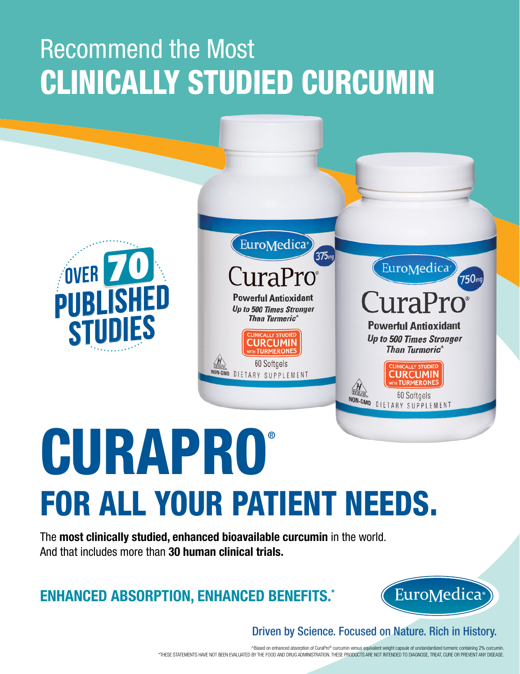## Recommend the Most CLINICALLY STUDIED CURCUMIN





# CURAPRO® FOR ALL YOUR PATIENT NEEDS.

The **most clinically studied, enhanced bioavailable curcumin** in the world. And that includes more than **30 human clinical trials.**

**ENHANCED ABSORPTION, ENHANCED BENEFITS.\***



 $750$ mg

Driven by Science. Focused on Nature. Rich in History.

^Based on enhanced absorption of CuraPro® curcumin versus equivalent weight capsule of unstandardized turmeric containing 2% curcumin. \*THESE STATEMENTS HAVE NOT BEEN EVALUATED BY THE FOOD AND DRUG ADMINISTRATION. THESE PRODUCTS ARE NOT INTENDED TO DIAGNOSE, TREAT, CURE OR PREVENT ANY DISEASE.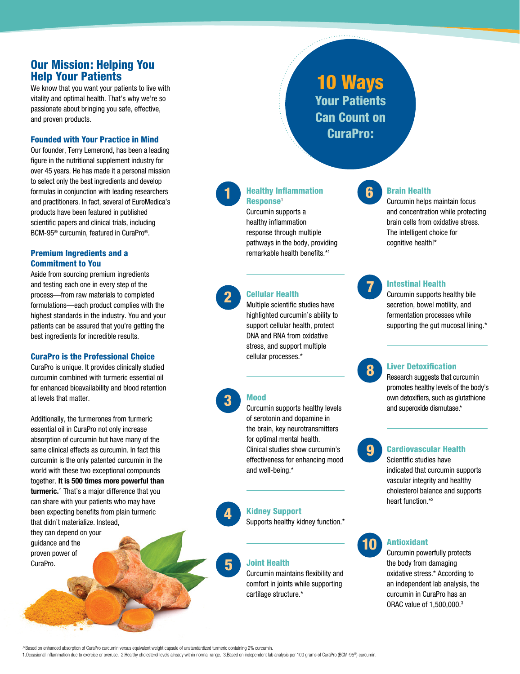#### Our Mission: Helping You Help Your Patients

We know that you want your patients to live with vitality and optimal health. That's why we're so passionate about bringing you safe, effective, and proven products.

#### Founded with Your Practice in Mind

Our founder, Terry Lemerond, has been a leading figure in the nutritional supplement industry for over 45 years. He has made it a personal mission to select only the best ingredients and develop formulas in conjunction with leading researchers and practitioners. In fact, several of EuroMedica's products have been featured in published scientific papers and clinical trials, including BCM-95® curcumin, featured in CuraPro®.

#### Premium Ingredients and a Commitment to You

Aside from sourcing premium ingredients and testing each one in every step of the process—from raw materials to completed formulations—each product complies with the highest standards in the industry. You and your patients can be assured that you're getting the best ingredients for incredible results.

#### CuraPro is the Professional Choice

CuraPro is unique. It provides clinically studied curcumin combined with turmeric essential oil for enhanced bioavailability and blood retention at levels that matter.

Additionally, the turmerones from turmeric essential oil in CuraPro not only increase absorption of curcumin but have many of the same clinical effects as curcumin. In fact this curcumin is the only patented curcumin in the world with these two exceptional compounds together. **It is 500 times more powerful than turmeric.**^ That's a major difference that you can share with your patients who may have been expecting benefits from plain turmeric that didn't materialize. Instead, they can depend on your guidance and the proven power of CuraPro.

10 Ways Your Patients Can Count on CuraPro:

#### **1 Healthy Inflammation 6** Response<sup>1</sup>

Curcumin supports a healthy inflammation response through multiple pathways in the body, providing remarkable health benefits.\*1

#### Cellular Health

2 Cellular Health<br>
Multiple scientific studies have highlighted curcumin's ability to support cellular health, protect DNA and RNA from oxidative stress, and support multiple cellular processes.\*

#### Mood

3

4

5

Curcumin supports healthy levels of serotonin and dopamine in the brain, key neurotransmitters for optimal mental health. Clinical studies show curcumin's effectiveness for enhancing mood and well-being.\*

Kidney Support

Supports healthy kidney function.\*

#### Joint Health

Curcumin maintains flexibility and comfort in joints while supporting cartilage structure.\*



#### Brain Health

Curcumin helps maintain focus and concentration while protecting brain cells from oxidative stress. The intelligent choice for cognitive health!\*



#### Intestinal Health

Curcumin supports healthy bile secretion, bowel motility, and fermentation processes while supporting the gut mucosal lining.\*

8

#### Liver Detoxification

Research suggests that curcumin promotes healthy levels of the body's own detoxifiers, such as glutathione and superoxide dismutase.\*



#### Cardiovascular Health

Scientific studies have indicated that curcumin supports vascular integrity and healthy cholesterol balance and supports heart function.\*2



#### Antioxidant

Curcumin powerfully protects the body from damaging oxidative stress.\* According to an independent lab analysis, the curcumin in CuraPro has an ORAC value of 1,500,000.3

^Based on enhanced absorption of CuraPro curcumin versus equivalent weight capsule of unstandardized turmeric containing 2% curcumin.

1.Occasional inflammation due to exercise or overuse. 2.Healthy cholesterol levels already within normal range. 3.Based on independent lab analysis per 100 grams of CuraPro (BCM-95®) curcumin.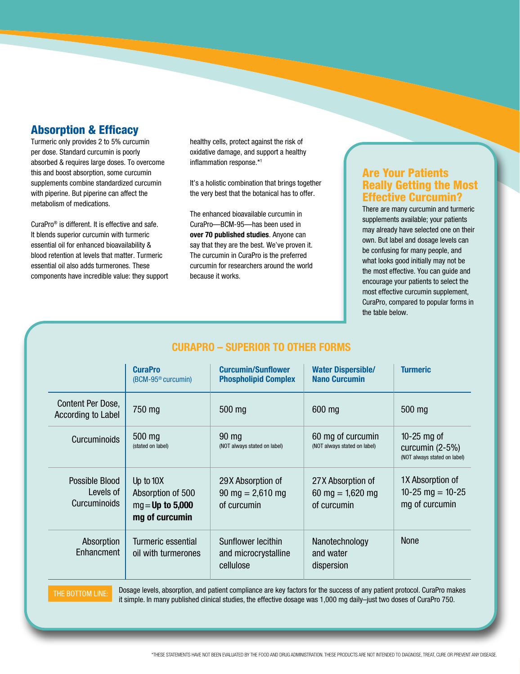#### Absorption & Efficacy

Turmeric only provides 2 to 5% curcumin per dose. Standard curcumin is poorly absorbed & requires large doses. To overcome this and boost absorption, some curcumin supplements combine standardized curcumin with piperine. But piperine can affect the metabolism of medications.

CuraPro® is different. It is effective and safe. It blends superior curcumin with turmeric essential oil for enhanced bioavailability & blood retention at levels that matter. Turmeric essential oil also adds turmerones. These components have incredible value: they support healthy cells, protect against the risk of oxidative damage, and support a healthy inflammation response.\*1

It's a holistic combination that brings together the very best that the botanical has to offer.

The enhanced bioavailable curcumin in CuraPro—BCM-95—has been used in **over 70 published studies**. Anyone can say that they are the best. We've proven it. The curcumin in CuraPro is the preferred curcumin for researchers around the world because it works.

#### Are Your Patients Really Getting the Most Effective Curcumin?

There are many curcumin and turmeric supplements available; your patients may already have selected one on their own. But label and dosage levels can be confusing for many people, and what looks good initially may not be the most effective. You can guide and encourage your patients to select the most effective curcumin supplement, CuraPro, compared to popular forms in the table below.

| <b>CURAPRO - SUPERIOR TO OTHER FORMS</b> |  |  |  |
|------------------------------------------|--|--|--|
|------------------------------------------|--|--|--|

|                                                    | <b>CuraPro</b><br>(BCM-95 <sup>®</sup> curcumin)                         | <b>Curcumin/Sunflower</b><br><b>Phospholipid Complex</b>               | <b>Water Dispersible/</b><br><b>Nano Curcumin</b>      | <b>Turmeric</b>                                                  |
|----------------------------------------------------|--------------------------------------------------------------------------|------------------------------------------------------------------------|--------------------------------------------------------|------------------------------------------------------------------|
| Content Per Dose,<br>According to Label            | 750 mg                                                                   | 500 mg                                                                 | 600 mg                                                 | 500 mg                                                           |
| <b>Curcuminoids</b>                                | 500 mg<br>(stated on label)                                              | $90 \text{ mg}$<br>(NOT always stated on label)                        | 60 mg of curcumin<br>(NOT always stated on label)      | $10-25$ mg of<br>curcumin (2-5%)<br>(NOT always stated on label) |
| Possible Blood<br>Levels of<br><b>Curcuminoids</b> | Up to $10X$<br>Absorption of 500<br>$mg = Up$ to 5,000<br>mg of curcumin | 29X Absorption of<br>$90 \text{ mg} = 2,610 \text{ mg}$<br>of curcumin | 27X Absorption of<br>60 mg = $1,620$ mg<br>of curcumin | 1X Absorption of<br>10-25 mg = $10-25$<br>mg of curcumin         |
| Absorption<br>Enhancment                           | Turmeric essential<br>oil with turmerones                                | Sunflower lecithin<br>and microcrystalline<br>cellulose                | Nanotechnology<br>and water<br>dispersion              | <b>None</b>                                                      |

THE BOTTOM LINE: Dosage levels, absorption, and patient compliance are key factors for the success of any patient protocol. CuraPro makes it simple. In many published clinical studies, the effective dosage was 1,000 mg daily–just two doses of CuraPro 750.